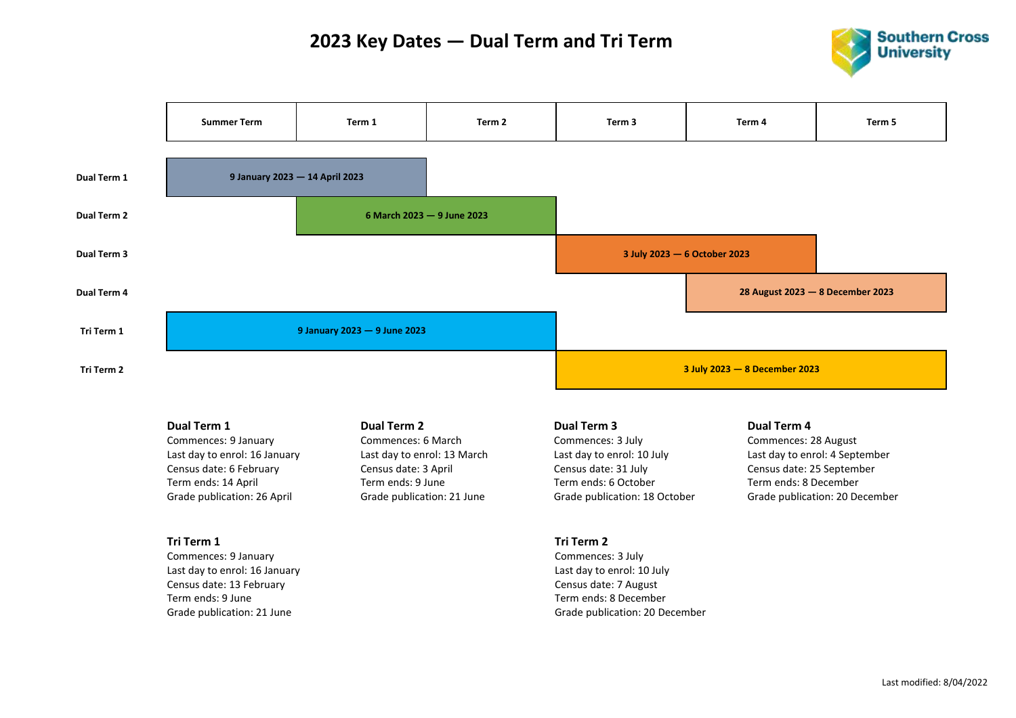## **2023 Key Dates — Dual Term and Tri Term**





#### **Dual Term 1**

Commences: 9 January Last day to enrol: 16 January Census date: 6 February Term ends: 14 April Grade publication: 26 April

#### **Tri Term 1**

Commences: 9 January Last day to enrol: 16 January Census date: 13 February Term ends: 9 June Grade publication: 21 June

#### **Dual Term 2**

Commences: 6 March Last day to enrol: 13 March Census date: 3 April Term ends: 9 June Grade publication: 21 June

#### **Dual Term 3**

Commences: 3 July Last day to enrol: 10 July Census date: 31 July Term ends: 6 October Grade publication: 18 October

### **Dual Term 4**

Commences: 28 August Last day to enrol: 4 September Census date: 25 September Term ends: 8 December Grade publication: 20 December

### **Tri Term 2** Commences: 3 July Last day to enrol: 10 July Census date: 7 August Term ends: 8 December

Grade publication: 20 December

#### Last modified: 8/04/2022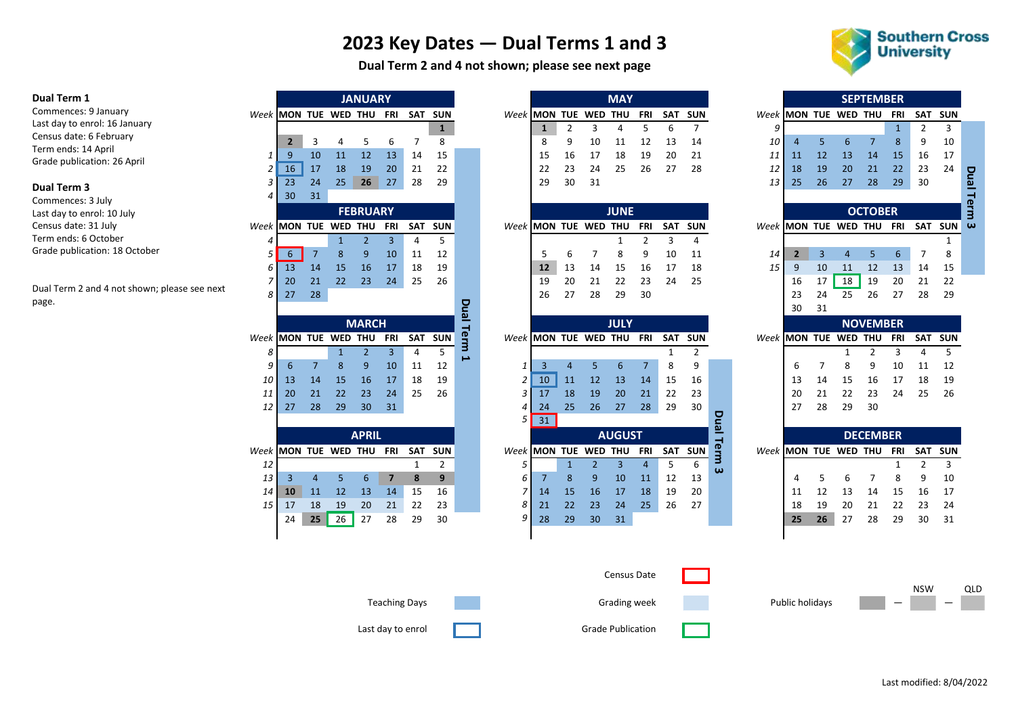# **2023 Key Dates — Dual Terms 1 and 3**

**Dual Term 2 and 4 not shown; please see next page**

Last day to enrol **Container Container Container** Grade Publication



#### **Dual Term 1**

Commences: 9 January Last day to enrol: 16 January Census date: 6 February Term ends: 14 April Grade publication: 26 April

#### **Dual Term 3**

Commences: 3 July Last day to enrol: 10 July Census date: 31 July Term ends: 6 October Grade publication: 18 October

Dual Term 2 and 4 not shown; please see next page.

|                       |                 |                |              | <b>JANUARY</b>  |                |                      |                |             |        |                          |                |                | <b>MAY</b>    |                |              |                |             |                      |                       |    |                  | <b>SEPTEMBER</b>   |              |                |                |
|-----------------------|-----------------|----------------|--------------|-----------------|----------------|----------------------|----------------|-------------|--------|--------------------------|----------------|----------------|---------------|----------------|--------------|----------------|-------------|----------------------|-----------------------|----|------------------|--------------------|--------------|----------------|----------------|
| Week MON TUE WED THU  |                 |                |              |                 | FRI            | SAT                  | <b>SUN</b>     |             |        | Week MON TUE WED THU     |                |                |               | <b>FRI</b>     | <b>SAT</b>   | <b>SUN</b>     |             |                      | Week MON TUE WED THU  |    |                  |                    | FRI          | SAT SUI        |                |
|                       |                 |                |              |                 |                |                      | $\mathbf{1}$   |             |        | III                      | $\overline{2}$ | 3              | 4             | 5              | 6            | $\overline{7}$ |             | 9                    |                       |    |                  |                    | $\mathbf{1}$ | $\overline{2}$ | 3              |
|                       | 2 <sup>2</sup>  | 3              | 4            | 5               | 6              | 7                    | 8              |             |        | 8                        | 9              | 10             | 11            | 12             | 13           | 14             |             | 10                   | 4                     | 5  | 6                | $\overline{7}$     | 8            | 9              | 10             |
| 1                     | 9               | 10             | 11           | 12              | 13             | 14                   | 15             |             |        | 15                       | 16             | 17             | 18            | 19             | 20           | 21             |             | 11                   | 11                    | 12 | 13               | 14                 | 15           | 16             | 17             |
| 2                     | 16              | 17             | 18           | 19              | 20             | 21                   | 22             |             |        | 22                       | 23             | 24             | 25            | 26             | 27           | 28             |             | 12                   | 18                    | 19 | 20               | 21                 | 22           | 23             | 24             |
| 3                     | 23              | 24             | 25           | 26              | 27             | 28                   | 29             |             |        | 29                       | 30             | 31             |               |                |              |                |             | 13                   | 25                    | 26 | 27               | 28                 | 29           | 30             |                |
| 4                     | 30              | 31             |              |                 |                |                      |                |             |        |                          |                |                |               |                |              |                |             |                      |                       |    |                  |                    |              |                |                |
|                       |                 |                |              | <b>FEBRUARY</b> |                |                      |                |             |        |                          |                |                | <b>JUNE</b>   |                |              |                |             |                      |                       |    |                  | <b>OCTOBER</b>     |              |                |                |
| Week                  | MON TUE WED THU |                |              |                 | FRI            | SAT                  | <b>SUN</b>     |             |        | Week MON TUE WED THU     |                |                |               | <b>FRI</b>     | SAT          | <b>SUN</b>     |             | Week MON TUE WED THU |                       |    |                  |                    | FRI          | SAT SUI        |                |
| 4                     |                 |                | $\mathbf{1}$ | $\overline{2}$  | 3              | $\overline{4}$       | 5              |             |        |                          |                |                | 1             | 2              | 3            | $\overline{4}$ |             |                      |                       |    |                  |                    |              |                | $\mathbf{1}$   |
| 5                     | 6               | $\overline{7}$ | 8            | 9               | 10             | 11                   | 12             |             |        | 5                        | 6              | 7              | 8             | 9              | 10           | 11             |             | 14                   | $\overline{2}$        | 3  | $\overline{4}$   | 5                  | 6            | 7              | 8              |
| 6                     | 13              | 14             | 15           | 16              | 17             | 18                   | 19             |             |        | 12                       | 13             | 14             | 15            | 16             | 17           | 18             |             | 15                   | Я                     | 10 | $\Lambda\Lambda$ | $\overline{\bf 2}$ | 13           | 14             | 15             |
| 7                     | 20              | 21             | 22           | 23              | 24             | 25                   | 26             |             |        | 19                       | 20             | 21             | 22            | 23             | 24           | 25             |             |                      | 16                    | 17 | 18               | 19                 | 20           | 21             | 22             |
| 8                     | 27              | 28             |              |                 |                |                      |                |             |        | 26                       | 27             | 28             | 29            | 30             |              |                |             |                      | 23                    | 24 | 25               | 26                 | 27           | 28             | 2 <sub>5</sub> |
|                       |                 |                |              |                 |                |                      |                | <b>Pual</b> |        |                          |                |                |               |                |              |                |             |                      | 30                    | 31 |                  |                    |              |                |                |
|                       |                 |                |              | <b>MARCH</b>    |                |                      |                |             |        |                          |                |                | <b>JULY</b>   |                |              |                |             |                      |                       |    |                  | <b>NOVEMBER</b>    |              |                |                |
| Week                  | MON TUE WED THU |                |              |                 | FRI            | SAT                  | <b>SUN</b>     | Term        |        | Week MON TUE WED THU FRI |                |                |               |                | SAT          | <b>SUN</b>     |             | Week MON TUE WED THU |                       |    |                  |                    | <b>FRI</b>   | SAT SUI        |                |
| 8                     |                 |                | $\mathbf{1}$ | $\overline{2}$  | $\overline{3}$ | $\overline{4}$       | 5              | د           |        |                          |                |                |               |                | $\mathbf{1}$ | $\overline{2}$ |             |                      |                       |    | $\mathbf{1}$     | $\overline{2}$     | 3            | $\overline{4}$ | 5              |
| 9                     | 6               | $\overline{7}$ | 8            | 9               | 10             | 11                   | 12             |             | 1      | 3                        | $\overline{4}$ | 5              | 6             | $\overline{7}$ | 8            | 9              |             |                      | 6                     | 7  | 8                | 9                  | 10           | 11             | 12             |
| 10                    | 13              | 14             | 15           | 16              | 17             | 18                   | 19             |             | 2      | 10                       | 11             | 12             | 13            | 14             | 15           | 16             |             |                      | 13                    | 14 | 15               | 16                 | 17           | 18             | 1 <sup>c</sup> |
| 11                    | 20              | 21             | 22           | 23              | 24             | 25                   | 26             |             | 3      | 17                       | 18             | 19             | 20            | 21             | 22           | 23             |             |                      | 20                    | 21 | 22               | 23                 | 24           | 25             | 26             |
| 12                    | 27              | 28             | 29           | 30              | 31             |                      |                |             | 4<br>5 | 24                       | 25             | 26             | 27            | 28             | 29           | 30             |             |                      | 27                    | 28 | 29               | 30                 |              |                |                |
|                       |                 |                |              |                 |                |                      |                |             |        | 31                       |                |                |               |                |              |                | <b>Pual</b> |                      |                       |    |                  |                    |              |                |                |
|                       |                 |                |              | <b>APRIL</b>    |                |                      |                |             |        |                          |                |                | <b>AUGUST</b> |                |              |                |             |                      |                       |    |                  | <b>DECEMBER</b>    |              |                |                |
| Week IMON TUE WED THU |                 |                |              |                 | <b>FRI</b>     | <b>SAT</b>           | <b>SUN</b>     |             |        | Week IMON TUE WED THU    |                |                |               | FRI            | <b>SAT</b>   | <b>SUN</b>     | Term        |                      | Week IMON TUE WED THU |    |                  |                    | FRI          | SAT SUI        |                |
| 12                    |                 |                |              |                 |                | 1                    | $\overline{2}$ |             | 5      |                          | $\mathbf{1}$   | $\overline{2}$ | 3             | 4              | 5            | 6              | ω           |                      |                       |    |                  |                    | 1            | $\overline{2}$ | 3              |
| 13                    | 3               | 4              | 5            | 6               | $\overline{7}$ | 8                    | 9              |             | 6      | 7                        | 8              | 9              | 10            | 11             | 12           | 13             |             |                      | 4                     | 5  | 6                | 7                  | 8            | 9              | 10             |
| 14                    | 10              | 11             | 12           | 13              | 14             | 15                   | 16             |             | 7<br>8 | 14                       | 15             | 16             | 17            | 18             | 19           | 20             |             |                      | 11                    | 12 | 13               | 14                 | 15           | 16             | 17             |
| 15                    | M               | 18             | 19           | 20              | $2\Lambda$     | 22                   | 23<br>30       |             | 9      | 21                       | 22             | 23             | 24            | 25             | 26           | 27             |             |                      | 18                    | 19 | 20               | 21                 | 22           | 23             | 24<br>31       |
|                       | 24              | 25             | 26           | 27              | 28             | 29                   |                |             |        | 28                       | 29             | 30             | 31            |                |              |                |             |                      | 25                    | 26 | 27               | 28                 | 29           | 30             |                |
|                       |                 |                |              |                 |                |                      |                |             |        |                          |                |                |               |                |              |                |             |                      |                       |    |                  |                    |              |                |                |
|                       |                 |                |              |                 |                |                      |                |             |        |                          |                |                | Census Date   |                |              |                |             |                      |                       |    |                  |                    |              |                |                |
|                       |                 |                |              |                 |                | <b>Teaching Days</b> |                |             |        |                          |                |                | Grading week  |                |              |                |             |                      | Public holidays       |    |                  |                    |              | <b>NSW</b>     |                |

|      |                          |                |              | <b>JANUARY</b>  |                |     |                |                       |                      |    |                |                | <b>MAY</b>    |                |     |                |             |                          |    |    | <b>SEPTEMBER</b> |              |                |              |
|------|--------------------------|----------------|--------------|-----------------|----------------|-----|----------------|-----------------------|----------------------|----|----------------|----------------|---------------|----------------|-----|----------------|-------------|--------------------------|----|----|------------------|--------------|----------------|--------------|
|      | Week MON TUE WED THU FRI |                |              |                 |                |     | SAT SUN        |                       | Week MON TUE WED THU |    |                |                |               | <b>FRI</b>     | SAT | <b>SUN</b>     |             | Week MON TUE WED THU     |    |    |                  | FRI          | SAT            | <b>SUN</b>   |
|      |                          |                |              |                 |                |     | $\mathbf{1}$   |                       |                      | Ш  | $\overline{2}$ | 3              | 4             | 5              | 6   | $\overline{7}$ | 9           |                          |    |    |                  | $\mathbf{1}$ | 2              | 3            |
|      | $\overline{2}$           | 3              | 4            | 5               | 6              | 7   | 8              |                       |                      | 8  | 9              | 10             | 11            | 12             | 13  | 14             | 10          | 4                        | 5  | 6  | $\overline{7}$   | 8            | 9              | 10           |
| 1    | 9                        | 10             | 11           | 12              | 13             | 14  | 15             |                       |                      | 15 | 16             | 17             | 18            | 19             | 20  | 21             | 11          | 11                       | 12 | 13 | 14               | 15           | 16             | 17           |
| 2    | 16                       | 17             | 18           | 19              | 20             | 21  | 22             |                       |                      | 22 | 23             | 24             | 25            | 26             | 27  | 28             | 12          | 18                       | 19 | 20 | 21               | 22           | 23             | 24           |
| 3    | 23                       | 24             | 25           | 26              | 27             | 28  | 29             |                       |                      | 29 | 30             | 31             |               |                |     |                | 13          | 25                       | 26 | 27 | 28               | 29           | 30             |              |
| 4    | 30                       | 31             |              |                 |                |     |                |                       |                      |    |                |                |               |                |     |                |             |                          |    |    |                  |              |                |              |
|      |                          |                |              | <b>FEBRUARY</b> |                |     |                |                       |                      |    |                |                | <b>JUNE</b>   |                |     |                |             |                          |    |    | <b>OCTOBER</b>   |              |                |              |
| Week | MON TUE WED THU          |                |              |                 | <b>FRI</b>     | SAT | <b>SUN</b>     |                       | Week MON TUE WED THU |    |                |                |               | <b>FRI</b>     | SAT | <b>SUN</b>     |             | Week MON TUE WED THU FRI |    |    |                  |              | <b>SAT SUN</b> |              |
|      |                          |                | $\mathbf{1}$ | $\overline{2}$  | 3              | 4   | 5              |                       |                      |    |                |                | 1             | $\overline{2}$ | 3   | 4              |             |                          |    |    |                  |              |                | $\mathbf{1}$ |
| 5    | 6                        | $\overline{7}$ | 8            | 9               | 10             | 11  | 12             |                       |                      | 5  | 6              | 7              | 8             | 9              | 10  | 11             | 14          | $\mathbf{2}$             | 3  | 4  | 5                | 6            | 7              | 8            |
| 6    | 13                       | 14             | 15           | 16              | 17             | 18  | 19             |                       |                      | 12 | 13             | 14             | 15            | 16             | 17  | 18             | 15          | Я                        | 10 | 12 | 12               | 13           | 14             | 15           |
| 7    | 20                       | 21             | 22           | 23              | 24             | 25  | 26             |                       |                      | 19 | 20             | 21             | 22            | 23             | 24  | 25             |             | 16                       | 17 | 18 | 19               | 20           | 21             | 22           |
| 8    | 27                       | 28             |              |                 |                |     |                |                       |                      | 26 | 27             | 28             | 29            | 30             |     |                |             | 23                       | 24 | 25 | 26               | 27           | 28             | 29           |
|      |                          |                |              |                 |                |     |                | <b>Pual</b>           |                      |    |                |                |               |                |     |                |             | 30                       | 31 |    |                  |              |                |              |
|      |                          |                |              | <b>MARCH</b>    |                |     |                |                       |                      |    |                |                | <b>JULY</b>   |                |     |                |             |                          |    |    | <b>NOVEMBER</b>  |              |                |              |
|      | Week MON TUE WED THU     |                |              |                 | FRI            |     | SAT SUN        | Term                  | Week MON TUE WED THU |    |                |                |               | <b>FRI</b>     |     | SAT SUN        |             | Week MON TUE WED THU     |    |    |                  | FRI          | <b>SAT</b>     | <b>SUN</b>   |
| 8    |                          |                | $\mathbf{1}$ | $\overline{2}$  | 3              | 4   | 5              | $\blacktriangleright$ |                      |    |                |                |               |                | 1   | $\overline{2}$ |             |                          |    | 1  | 2                | 3            | 4              | 5            |
| 9    | 6                        | $\overline{7}$ | 8            | 9               | 10             | 11  | 12             |                       | 1                    | 3  | $\overline{4}$ | 5              | 6             | $\overline{7}$ | 8   | 9              |             | 6                        | 7  | 8  | 9                | 10           | 11             | 12           |
| 10   | 13                       | 14             | 15           | 16              | 17             | 18  | 19             |                       | 2                    | 10 | 11             | 12             | 13            | 14             | 15  | 16             |             | 13                       | 14 | 15 | 16               | 17           | 18             | 19           |
| 11   | 20                       | 21             | 22           | 23              | 24             | 25  | 26             |                       | 3                    | 17 | 18             | 19             | 20            | 21             | 22  | 23             |             | 20                       | 21 | 22 | 23               | 24           | 25             | 26           |
| 12   | 27                       | 28             | 29           | 30              | 31             |     |                |                       | 4                    | 24 | 25             | 26             | 27            | 28             | 29  | 30             |             | 27                       | 28 | 29 | 30               |              |                |              |
|      |                          |                |              |                 |                |     |                |                       | 5                    | 31 |                |                |               |                |     |                | <b>Dual</b> |                          |    |    |                  |              |                |              |
|      |                          |                |              | <b>APRIL</b>    |                |     |                |                       |                      |    |                |                | <b>AUGUST</b> |                |     |                |             |                          |    |    | <b>DECEMBER</b>  |              |                |              |
| Week | MON TUE WED THU FRI      |                |              |                 |                |     | SAT SUN        |                       | Week MON TUE WED THU |    |                |                |               | FRI            |     | SAT SUN        | erm         | Week MON TUE WED THU     |    |    |                  | FRI          | SAT            | <b>SUN</b>   |
| 12   |                          |                |              |                 |                | 1   | $\overline{2}$ |                       | 5                    |    | $\mathbf{1}$   | $\overline{2}$ | 3             | $\overline{4}$ | 5   | 6              | ω           |                          |    |    |                  | 1            | 2              | 3            |
| 13   | 3                        | 4              | 5            | 6               | $\overline{7}$ | 8   | 9              |                       | 6                    | 7  | 8              | 9              | 10            | 11             | 12  | 13             |             | 4                        | 5  | 6  | 7                | 8            | 9              | 10           |
| 14   | 10                       | 11             | 12           | 13              | 14             | 15  | 16             |                       | 7                    | 14 | 15             | 16             | 17            | 18             | 19  | 20             |             | 11                       | 12 | 13 | 14               | 15           | 16             | 17           |
| 15   | M                        | 18             | 19           | 20              | $2\Lambda$     | 22  | 23             |                       | 8                    | 21 | 22             | 23             | 24            | 25             | 26  | 27             |             | 18                       | 19 | 20 | 21               | 22           | 23             | 24           |
|      | 24                       | 25             | 26           | 27              | 28             | 29  | 30             |                       | 9                    | 28 | 29             | 30             | 31            |                |     |                |             | 25                       | 26 | 27 | 28               | 29           | 30             | 31           |
|      |                          |                |              |                 |                |     |                |                       |                      |    |                |                |               |                |     |                |             |                          |    |    |                  |              |                |              |
|      |                          |                |              |                 |                |     |                |                       |                      |    |                |                |               |                |     |                |             |                          |    |    |                  |              |                |              |
|      |                          |                |              |                 |                |     |                |                       |                      |    |                |                |               |                |     |                |             |                          |    |    |                  |              |                |              |
|      |                          |                |              |                 |                |     |                |                       |                      |    |                |                | Census Date   |                |     |                |             |                          |    |    |                  |              |                |              |

| <b>MON TUE</b><br>4<br>11<br>18<br>25<br><b>MON</b><br>$\overline{2}$<br>9<br>16<br>23<br>30<br><b>MON</b> | 5<br>12<br>19<br>26<br><b>TUE</b><br>3<br>10<br>17<br>24<br>31 | <b>WED THU</b><br>6<br>13<br>20<br>27<br><b>WED</b><br>$\overline{4}$<br>$11\,$<br>18<br>25 | $\overline{7}$<br>14<br>21<br>28<br><b>OCTOBER</b><br><b>THU</b><br>5<br>$\overline{12}$<br>19<br>26 | <b>FRI</b><br>$\mathbf{1}$<br>8<br>15<br>22<br>29<br>FRI<br>$6\phantom{1}$<br>13<br>20<br>27 | SAT<br>2<br>9<br>16<br>23<br>30<br><b>SAT</b><br>7<br>14<br>21<br>28 | <b>SUN</b><br>3<br>10<br>17<br>24<br><b>SUN</b><br>1<br>8<br>15<br>22<br>29 |
|------------------------------------------------------------------------------------------------------------|----------------------------------------------------------------|---------------------------------------------------------------------------------------------|------------------------------------------------------------------------------------------------------|----------------------------------------------------------------------------------------------|----------------------------------------------------------------------|-----------------------------------------------------------------------------|
|                                                                                                            |                                                                |                                                                                             |                                                                                                      |                                                                                              |                                                                      |                                                                             |
|                                                                                                            |                                                                |                                                                                             |                                                                                                      |                                                                                              |                                                                      |                                                                             |
|                                                                                                            |                                                                |                                                                                             |                                                                                                      |                                                                                              |                                                                      |                                                                             |
|                                                                                                            |                                                                |                                                                                             |                                                                                                      |                                                                                              |                                                                      |                                                                             |
|                                                                                                            |                                                                |                                                                                             |                                                                                                      |                                                                                              |                                                                      |                                                                             |
|                                                                                                            |                                                                |                                                                                             |                                                                                                      |                                                                                              |                                                                      |                                                                             |
|                                                                                                            |                                                                |                                                                                             |                                                                                                      |                                                                                              |                                                                      |                                                                             |
|                                                                                                            |                                                                |                                                                                             |                                                                                                      |                                                                                              |                                                                      |                                                                             |
|                                                                                                            |                                                                |                                                                                             |                                                                                                      |                                                                                              |                                                                      |                                                                             |
|                                                                                                            |                                                                |                                                                                             |                                                                                                      |                                                                                              |                                                                      |                                                                             |
|                                                                                                            |                                                                |                                                                                             |                                                                                                      |                                                                                              |                                                                      |                                                                             |
|                                                                                                            |                                                                |                                                                                             |                                                                                                      |                                                                                              |                                                                      |                                                                             |
|                                                                                                            |                                                                |                                                                                             |                                                                                                      |                                                                                              |                                                                      |                                                                             |
|                                                                                                            |                                                                |                                                                                             |                                                                                                      |                                                                                              |                                                                      |                                                                             |
|                                                                                                            |                                                                |                                                                                             |                                                                                                      |                                                                                              |                                                                      |                                                                             |
|                                                                                                            |                                                                |                                                                                             | <b>NOVEMBER</b>                                                                                      |                                                                                              |                                                                      |                                                                             |
|                                                                                                            | <b>TUE</b>                                                     | <b>WED</b>                                                                                  | <b>THU</b>                                                                                           | <b>FRI</b>                                                                                   | <b>SAT</b>                                                           | <b>SUN</b>                                                                  |
|                                                                                                            |                                                                | $\mathbf 1$                                                                                 | $\overline{2}$                                                                                       | 3                                                                                            | 4                                                                    | 5                                                                           |
| 6                                                                                                          | 7                                                              | 8                                                                                           | 9                                                                                                    | 10                                                                                           | 11                                                                   | 12                                                                          |
| 13                                                                                                         | 14                                                             | 15                                                                                          | 16                                                                                                   | 17                                                                                           | 18                                                                   | 19                                                                          |
| 20                                                                                                         | 21                                                             | 22                                                                                          | 23                                                                                                   | 24                                                                                           | 25                                                                   | 26                                                                          |
| 27                                                                                                         | 28                                                             | 29                                                                                          | 30                                                                                                   |                                                                                              |                                                                      |                                                                             |
|                                                                                                            |                                                                |                                                                                             |                                                                                                      |                                                                                              |                                                                      |                                                                             |
|                                                                                                            |                                                                |                                                                                             |                                                                                                      |                                                                                              |                                                                      |                                                                             |
| <b>MON</b>                                                                                                 | <b>TUE</b>                                                     | <b>WED</b>                                                                                  | <b>THU</b>                                                                                           | <b>FRI</b>                                                                                   | <b>SAT</b>                                                           | <b>SUN</b>                                                                  |
|                                                                                                            |                                                                |                                                                                             |                                                                                                      | 1                                                                                            | 2                                                                    | 3                                                                           |
| 4                                                                                                          | 5                                                              | 6                                                                                           | $\overline{7}$                                                                                       | 8                                                                                            | 9                                                                    | 10                                                                          |
| 11                                                                                                         | 12                                                             | 13                                                                                          | 14                                                                                                   | 15                                                                                           | 16                                                                   | 17                                                                          |
| 18                                                                                                         | 19                                                             | 20                                                                                          | 21                                                                                                   | 22                                                                                           | 23                                                                   | 24                                                                          |
|                                                                                                            |                                                                | 27                                                                                          | 28                                                                                                   | 29                                                                                           | 30                                                                   | 31                                                                          |
|                                                                                                            |                                                                | 25<br>26                                                                                    |                                                                                                      |                                                                                              | <b>DECEMBER</b>                                                      |                                                                             |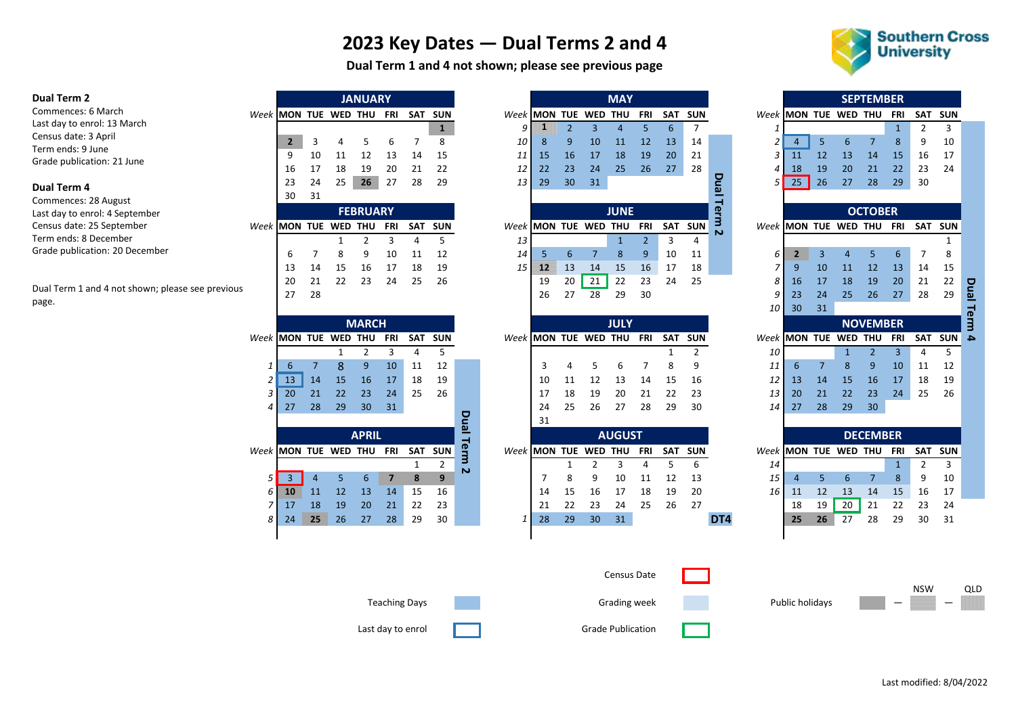# **2023 Key Dates — Dual Terms 2 and 4**

**Dual Term 1 and 4 not shown; please see previous page**



#### **Dual Term 2**

Commences: 6 March Last day to enrol: 13 March Census date: 3 April Term ends: 9 June Grade publication: 21 June

#### **Dual Term 4**

Commences: 28 August Last day to enrol: 4 September Census date: 25 September Term ends: 8 December Grade publication: 20 December

Dual Term 1 and 4 not shown; please see previous page.

|                     |    |    | <b>JANUARY</b> |       |     |            |
|---------------------|----|----|----------------|-------|-----|------------|
| eek MON TUE WED THU |    |    |                | - FRI | SAT | <b>SUN</b> |
|                     |    |    |                |       |     |            |
| $\overline{2}$      | 3  |    | -5             | 6     |     | 8          |
| ٩                   | 10 | 11 | 12             | 13    | 14  | 15         |
| 16                  | 17 | 18 | 19             | 20    | 21  | 22         |
| 23                  | 24 | 25 | 26             | 27    | 28  | 29         |
| 30                  | 31 |    |                |       |     |            |

|                                  |                                                                                                                                                                                                                                                                                              |  | <b>FEBRUARY</b> |  |  |
|----------------------------------|----------------------------------------------------------------------------------------------------------------------------------------------------------------------------------------------------------------------------------------------------------------------------------------------|--|-----------------|--|--|
| Week MON TUE WED THU FRI SAT SUN |                                                                                                                                                                                                                                                                                              |  |                 |  |  |
|                                  |                                                                                                                                                                                                                                                                                              |  |                 |  |  |
|                                  |                                                                                                                                                                                                                                                                                              |  |                 |  |  |
|                                  |                                                                                                                                                                                                                                                                                              |  |                 |  |  |
|                                  |                                                                                                                                                                                                                                                                                              |  |                 |  |  |
|                                  | $\begin{array}{ccccccccc} & & & & & & & 1 & & 2 & & \overline{3} & & 4 \\ & & & & & & & 1 & & & & \\ 6 & & 7 & & 8 & & 9 & & 10 & & 11 & & \\ & 13 & & 14 & & 15 & & 16 & & 17 & & 18 & & 1 \\ 20 & & 21 & & 22 & & 23 & & 24 & & 25 & & 26 \\ & & 27 & & 28 & & & & & & & & \\ \end{array}$ |  |                 |  |  |

|                       |    |    |    | <b>MARCH</b> |            |            |            |              |                      |    |    |     | <b>JULY</b>   |            |            |            |     |                       |    |        |     | <b>NOVEMBER</b> |            |            |            |
|-----------------------|----|----|----|--------------|------------|------------|------------|--------------|----------------------|----|----|-----|---------------|------------|------------|------------|-----|-----------------------|----|--------|-----|-----------------|------------|------------|------------|
| Week IMON TUE WED THU |    |    |    |              | <b>FRI</b> | <b>SAT</b> | <b>SUN</b> |              | Week MON TUE WED THU |    |    |     |               | <b>FRI</b> | <b>SAT</b> | <b>SUN</b> |     | Week IMON TUE         |    |        | WED | <b>THU</b>      | <b>FRI</b> | SAT        | <b>SUN</b> |
|                       |    |    |    |              | 3          | 4          | 5.         |              |                      |    |    |     |               |            |            | 2          |     | 10                    |    |        |     |                 | 3          | 4          |            |
|                       | ь  |    | 8  | 9            | 10         | 11         | 12         |              |                      | 3  | 4  | ь   | 6             |            | 8          | 9          |     | 11                    | 6  |        | 8   | 9               | 10         | 11         | 12         |
| 2                     | 13 | 14 | 15 | 16           | 17         | 18         | 19         |              |                      | 10 | 11 | 12  | 13            | 14         | 15         | 16         |     | 12                    | 13 | 14     | 15  | 16              | 17         | 18         | 19         |
|                       | 20 | 21 | 22 | 23           | 24         | 25         | 26         |              |                      | 17 | 18 | 19  | 20            | 21         | 22         | 23         |     | 13                    | 20 | 21     | 22  | 23              | 24         | 25         | 26         |
| 4                     | 27 | 28 | 29 | 30           | 31         |            |            |              |                      | 24 | 25 | 26  | 27            | 28         | 29         | 30         |     | 14                    | 27 | 28     | 29  | 30              |            |            |            |
|                       |    |    |    |              |            |            |            | o            |                      | 31 |    |     |               |            |            |            |     |                       |    |        |     |                 |            |            |            |
|                       |    |    |    |              |            |            |            |              |                      |    |    |     |               |            |            |            |     |                       |    |        |     |                 |            |            |            |
|                       |    |    |    | <b>APRIL</b> |            |            |            | э            |                      |    |    |     | <b>AUGUST</b> |            |            |            |     |                       |    |        |     | <b>DECEMBER</b> |            |            |            |
| Week MON TUE WED THU  |    |    |    |              | FRI        | <b>SAT</b> | <b>SUN</b> | <u>ዊ</u>     | Week MON TUE         |    |    | WED | <b>THU</b>    | FRI        | SAT        | <b>SUN</b> |     | Week IMON TUE WED THU |    |        |     |                 | FRI        | <b>SAT</b> | <b>SUN</b> |
|                       |    |    |    |              |            |            | 2          | ∍            |                      |    |    |     | 3             | 4          | 5          | 6          |     | 14                    |    |        |     |                 |            | 2          | 3          |
|                       | 3  | 4  | 5  | 6            |            | 8          | 9          | $\mathbf{v}$ |                      |    | 8  | 9   | 10            | 11         | 12         | 13         |     | 15                    |    | 5      | 6   |                 | 8          | 9          | 10         |
| 6                     | 10 | 11 | 12 | 13           | 14         | 15         | 16         |              |                      | 14 | 15 | 16  | 17            | 18         | 19         | 20         |     | 16                    | M  | $12\,$ | 13  | 14              | 15         | 16         | 17         |
|                       | 17 | 18 | 19 | 20           | 21         | 22         | 23         |              |                      | 21 | 22 | 23  | 24            | 25         | 26         | 27         |     |                       | 18 | 19     | 20  | 21              | 22         | 23         | 24         |
| 8                     | 24 | 25 | 26 | 27           | 28         | 29         | 30         |              |                      | 28 | 29 | 30  | 31            |            |            |            | DT4 |                       | 25 | 26     | 27  | 28              | 29         | 30         | 31         |

|                      |    |    | $J^{\prime}$ . The state of $J^{\prime}$ |     |     |            |                      |         |     |    | $\cdots$    |     |            |            |   |                       |    |    |    | JLI ILIVIDLIV  |     |                |                 |
|----------------------|----|----|------------------------------------------|-----|-----|------------|----------------------|---------|-----|----|-------------|-----|------------|------------|---|-----------------------|----|----|----|----------------|-----|----------------|-----------------|
| Week MON TUE WED THU |    |    |                                          | FRI | SAT | <b>SUN</b> | Week IMON TUE WED    |         |     |    | THU         | FRI | <b>SAT</b> | <b>SUN</b> |   | Week IMON TUE WED THU |    |    |    |                | FRI | SAT            | <b>SUN</b>      |
|                      |    |    |                                          |     |     |            | 9                    |         |     |    |             |     | 6          |            |   |                       |    |    |    |                |     |                |                 |
| $\overline{2}$       |    | 4  |                                          | h   |     | 8          | 10 I                 | 8       | 9   | 10 | 11          | 12  | 13         | 14         |   |                       |    | 5  | 6  |                | 8   | 9              | 10              |
| 9                    | 10 | 11 | 12                                       | 13  | 14  | 15         | 11                   | 15      | 16  | 17 | 18          | 19  | 20         | 21         |   | 3                     | 11 | 12 | 13 | 14             | 15  | 16             | 17              |
| 16                   | 17 | 18 | 19                                       | 20  | 21  | 22         | 12 <sup>1</sup>      | 22      | 23  | 24 | 25          | 26  | 27         | 28         |   | 4                     | 18 | 19 | 20 | 21             | 22  | 23             | 24              |
| 23                   | 24 | 25 | 26                                       | 27  | 28  | 29         | 13 <sup>1</sup>      | 29      | 30  | 31 |             |     |            |            |   |                       | 25 | 26 | 27 | 28             | 29  | 30             |                 |
| 30                   | 31 |    |                                          |     |     |            |                      |         |     |    |             |     |            |            | മ |                       |    |    |    |                |     |                |                 |
|                      |    |    |                                          |     |     |            |                      |         |     |    |             |     |            |            |   |                       |    |    |    |                |     |                |                 |
|                      |    |    | <b>FEBRUARY</b>                          |     |     |            |                      |         |     |    | <b>JUNE</b> |     |            |            | æ |                       |    |    |    | <b>OCTOBER</b> |     |                |                 |
| Week MON TUE WED THU |    |    |                                          | FRI | SAT | <b>SUN</b> | Week MON TUE WED THU |         |     |    |             | FRI |            | SAT SUN    |   | Week MON TUE WED THU  |    |    |    |                | FRI | <b>SAT SUN</b> |                 |
|                      |    |    |                                          |     | 4   | 5          | 13                   |         |     |    |             |     |            |            | N |                       |    |    |    |                |     |                |                 |
| ь                    |    | 8  | 9                                        | 10  | 11  | 12         | 14                   |         | 6.  |    | 8           | -9  | 10         | 11         |   | 6                     |    | 3  | Δ  | 5.             | 6   |                | 8               |
| 13                   | 14 | 15 | 16                                       | 17  | 18  | 19         | 15 <sup>1</sup>      | $12-12$ | -13 | 14 | 15          | 16  | 17         | 18         |   |                       | q  | 10 | 11 | 12             | 13  | 14             |                 |
| 20                   | 21 | 22 | 23                                       | 24  | 25  | 26         |                      | 19      | 20  | 21 | 22          | 23  | 24         | 25         |   | 8                     | 16 | 17 | 18 | 19             | 20  | 21             |                 |
| 27                   | 28 |    |                                          |     |     |            |                      | 26      | 27  | 28 | 29          | 30  |            |            |   | 9                     | 23 | 24 | 25 | 26             | 27  | 28             | -15<br>22<br>29 |

**MAY**

|     |             |    |            | <b>MARCH</b>    |     |     |            |    |                      |    |    |    | <b>JULY</b>    |     |    |         |      |    |    |                      | <b>NOVEMBER</b> |     |         |  |
|-----|-------------|----|------------|-----------------|-----|-----|------------|----|----------------------|----|----|----|----------------|-----|----|---------|------|----|----|----------------------|-----------------|-----|---------|--|
|     | $k$ MON TUE |    | <b>WED</b> | THU             | FRI | SAT | <b>SUN</b> |    | Week MON TUE WED THU |    |    |    |                | FRI |    | SAT SUN |      |    |    | Week MON TUE WED THU |                 | FRI | SAT SUI |  |
|     |             |    |            |                 |     |     |            |    |                      |    |    |    |                |     |    |         | 10   |    |    |                      |                 |     |         |  |
|     |             |    |            | 9               | 10  | 11  | 12         |    |                      |    |    |    |                |     |    | 9       |      |    |    |                      | 9               | 10  | 11      |  |
| 21  | 13          | 14 | 15         | <b>16</b>       | 17  | 18  | 19         |    |                      | 10 |    | 12 | 13             | 14  | 15 | 16      | 12   | 13 | 14 | 15                   | 16              | 17  | 18      |  |
| 3 I | 20          | 21 | 22         | 23              | 24  | 25  | -26        |    |                      | 17 | 18 | 19 | 20             | 21  | 22 | -23     | 13   | 20 | 21 | 22                   | 23              | 24  | 25      |  |
| 4 I | -27         | 28 | 29         | 30 <sup>°</sup> | -31 |     |            | o  |                      | 24 | 25 | 26 | 27             | 28  | 29 | 30      | 14 I | 27 | 28 | 29                   | 30              |     |         |  |
|     |             |    |            |                 |     |     |            |    |                      | 31 |    |    |                |     |    |         |      |    |    |                      |                 |     |         |  |
|     |             |    |            | <b>APRIL</b>    |     |     |            | œ. |                      |    |    |    | <b>ALIGUST</b> |     |    |         |      |    |    |                      | <b>DECEMBER</b> |     |         |  |

|                   |    |     | <b>ALIME</b> |            |            |            |              |    |    |                      | <b>AVUVJI</b> |     |     |     |                      |    |    |    | PLULIVIDLIN |     |         |
|-------------------|----|-----|--------------|------------|------------|------------|--------------|----|----|----------------------|---------------|-----|-----|-----|----------------------|----|----|----|-------------|-----|---------|
| $k$ imon-tue $\,$ |    | WED | THU          | <b>FRI</b> | <b>SAT</b> | <b>SUN</b> | ₾            |    |    | Week MON TUE WED THU |               | FRI | SAT | SUN | Week MON TUE WED THU |    |    |    |             | FRI | SAT SUI |
|                   |    |     |              |            |            |            | $\mathbf{v}$ |    |    |                      |               |     |     |     |                      |    |    |    |             |     |         |
|                   |    |     |              |            |            |            |              |    |    | q                    | 10            | 11  |     | -13 |                      |    |    |    |             |     |         |
| 6 10              | 11 |     | 13           | 14         | 15         | 16         |              | 14 |    | 16                   | 17            | 18  | 19  | 20  | 16                   |    | 12 | 13 | 14          | 15% |         |
| 7 17              | 18 | 19  | 20           | 21         | 22         | 23         |              | 21 |    | 23                   | 24            | 25  | 26  | 27  |                      | 18 | 19 | 20 | 21          |     |         |
| 8 24              | 25 | 26  | 27           | 28         | 29         | 30         |              | 28 | 29 | 30                   | 31            |     |     |     |                      | 25 | 26 | 27 | 28          | 29  |         |
|                   |    |     |              |            |            |            |              |    |    |                      |               |     |     |     |                      |    |    |    |             |     |         |

|                | <b>SEPTEMBER</b><br><b>MON</b><br><b>TUE</b><br><b>WED</b><br>THU<br>FRI<br><b>SAT</b><br><b>SUN</b> |                |                 |                 |                 |            |            |             |  |  |  |  |  |  |
|----------------|------------------------------------------------------------------------------------------------------|----------------|-----------------|-----------------|-----------------|------------|------------|-------------|--|--|--|--|--|--|
| Week           |                                                                                                      |                |                 |                 |                 |            |            |             |  |  |  |  |  |  |
| 1              |                                                                                                      |                |                 |                 | $\overline{1}$  | 2          | 3          |             |  |  |  |  |  |  |
| $\overline{c}$ | 4                                                                                                    | 5              | 6               | $\overline{7}$  | 8               | 9          | 10         |             |  |  |  |  |  |  |
| 3              | 11                                                                                                   | 12             | 13              | 14              | 15              | 16         | 17         |             |  |  |  |  |  |  |
| $\overline{4}$ | 18                                                                                                   | 19             | 20              | 21              | 22              | 23         | 24         |             |  |  |  |  |  |  |
| 5              | 25                                                                                                   | 26             | 27              | 28              | 29              | 30         |            |             |  |  |  |  |  |  |
|                |                                                                                                      |                |                 |                 |                 |            |            |             |  |  |  |  |  |  |
|                |                                                                                                      |                |                 | <b>OCTOBER</b>  |                 |            |            |             |  |  |  |  |  |  |
| Week           | <b>MON</b>                                                                                           | <b>TUE</b>     | <b>WED</b>      | <b>THU</b>      | FRI             | <b>SAT</b> | <b>SUN</b> |             |  |  |  |  |  |  |
|                |                                                                                                      |                |                 |                 |                 |            | 1          |             |  |  |  |  |  |  |
| 6              | $\overline{2}$                                                                                       | $\overline{3}$ | $\overline{4}$  | 5               | 6               | 7          | 8          |             |  |  |  |  |  |  |
| $\overline{z}$ | 9                                                                                                    | 10             | 11              | 12              | 13              | 14         | 15         |             |  |  |  |  |  |  |
| 8              | 16                                                                                                   | 17             | 18              | 19              | 20              | 21         | 22         |             |  |  |  |  |  |  |
| 9              | 23                                                                                                   | 24             | 25              | 26              | 27              | 28         | 29         |             |  |  |  |  |  |  |
| 10             | 30                                                                                                   | 31             |                 |                 |                 |            |            |             |  |  |  |  |  |  |
|                |                                                                                                      |                |                 | <b>NOVEMBER</b> |                 |            |            | Dual Term 4 |  |  |  |  |  |  |
| Week           | <b>MON</b>                                                                                           | <b>TUE</b>     | <b>WED</b>      | <b>THU</b>      | FRI             | <b>SAT</b> | <b>SUN</b> |             |  |  |  |  |  |  |
|                |                                                                                                      |                |                 |                 |                 |            |            |             |  |  |  |  |  |  |
| 10             |                                                                                                      |                | $\overline{1}$  | $\overline{2}$  | 3               | 4          | 5          |             |  |  |  |  |  |  |
| 11             | 6                                                                                                    | $\overline{7}$ | 8               | 9               | 10              | 11         | 12         |             |  |  |  |  |  |  |
| 12             | 13                                                                                                   | 14             | 15              | 16              | 17              | 18         | 19         |             |  |  |  |  |  |  |
| 13             | 20                                                                                                   | 21             | 22              | 23              | 24              | 25         | 26         |             |  |  |  |  |  |  |
| 14             | 27                                                                                                   | 28             | 29              | 30              |                 |            |            |             |  |  |  |  |  |  |
|                |                                                                                                      |                |                 |                 |                 |            |            |             |  |  |  |  |  |  |
|                |                                                                                                      |                |                 | <b>DECEMBER</b> |                 |            |            |             |  |  |  |  |  |  |
| Week           | <b>MON</b>                                                                                           | <b>TUE</b>     | <b>WED</b>      | THU             | FRI             | <b>SAT</b> | <b>SUN</b> |             |  |  |  |  |  |  |
| 14             |                                                                                                      |                |                 |                 | $\overline{1}$  | 2          | 3          |             |  |  |  |  |  |  |
| 15             | $\overline{4}$                                                                                       | 5              | 6               | $\overline{7}$  | 8               | 9          | 10         |             |  |  |  |  |  |  |
| 16             | $\Lambda$                                                                                            | 12             | $\overline{13}$ | 14              | $\overline{15}$ | 16         | 17         |             |  |  |  |  |  |  |
|                | 18                                                                                                   | 19             | 20              | 21              | 22              | 23         | 24         |             |  |  |  |  |  |  |
|                | 25                                                                                                   | 26             | 27              | 28              | 29              | 30         | 31         |             |  |  |  |  |  |  |
|                |                                                                                                      |                |                 |                 |                 |            |            |             |  |  |  |  |  |  |
|                |                                                                                                      |                |                 |                 |                 |            |            |             |  |  |  |  |  |  |
|                |                                                                                                      |                |                 |                 |                 |            |            |             |  |  |  |  |  |  |





Teaching Days Grading week  $\overline{S}$  Public holidays  $\overline{S}$   $\overline{S}$   $\overline{S}$   $\overline{S}$   $\overline{S}$   $\overline{S}$   $\overline{S}$   $\overline{S}$   $\overline{S}$   $\overline{S}$   $\overline{S}$   $\overline{S}$   $\overline{S}$   $\overline{S}$   $\overline{S}$   $\overline{S}$   $\overline{S}$   $\overline{S}$   $\overline{S}$ 

Last day to enrol **Container Containers** Grade Publication

Census Date